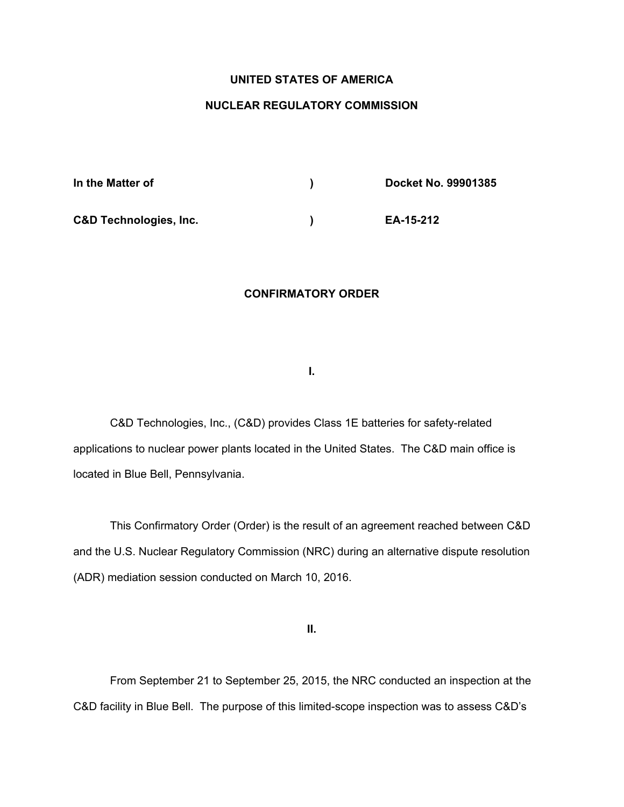# **UNITED STATES OF AMERICA**

## **NUCLEAR REGULATORY COMMISSION**

| In the Matter of                  | Docket No. 99901385 |
|-----------------------------------|---------------------|
| <b>C&amp;D Technologies, Inc.</b> | EA-15-212           |

#### **CONFIRMATORY ORDER**

**I.** 

C&D Technologies, Inc., (C&D) provides Class 1E batteries for safety-related applications to nuclear power plants located in the United States. The C&D main office is located in Blue Bell, Pennsylvania.

This Confirmatory Order (Order) is the result of an agreement reached between C&D and the U.S. Nuclear Regulatory Commission (NRC) during an alternative dispute resolution (ADR) mediation session conducted on March 10, 2016.

**II.** 

From September 21 to September 25, 2015, the NRC conducted an inspection at the C&D facility in Blue Bell. The purpose of this limited-scope inspection was to assess C&D's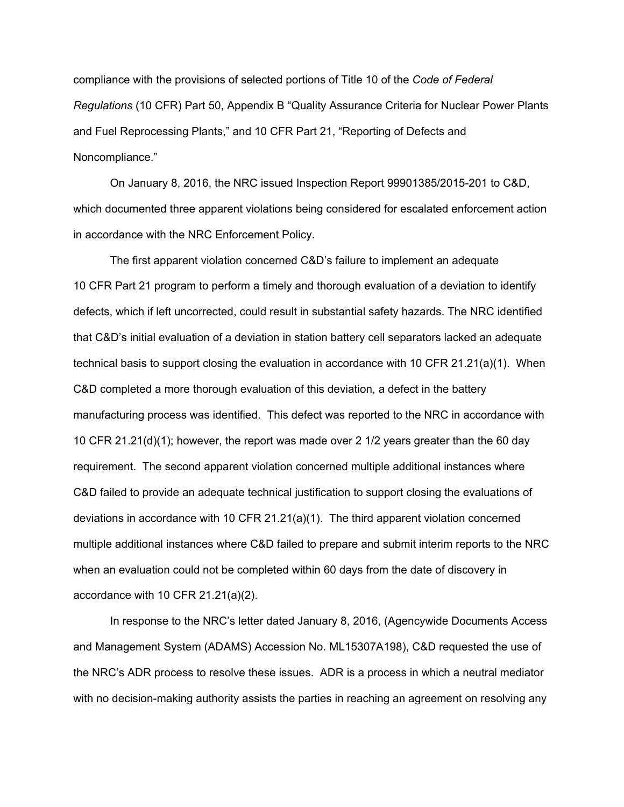compliance with the provisions of selected portions of Title 10 of the *Code of Federal Regulations* (10 CFR) Part 50, Appendix B "Quality Assurance Criteria for Nuclear Power Plants and Fuel Reprocessing Plants," and 10 CFR Part 21, "Reporting of Defects and Noncompliance."

On January 8, 2016, the NRC issued Inspection Report 99901385/2015-201 to C&D, which documented three apparent violations being considered for escalated enforcement action in accordance with the NRC Enforcement Policy.

The first apparent violation concerned C&D's failure to implement an adequate 10 CFR Part 21 program to perform a timely and thorough evaluation of a deviation to identify defects, which if left uncorrected, could result in substantial safety hazards. The NRC identified that C&D's initial evaluation of a deviation in station battery cell separators lacked an adequate technical basis to support closing the evaluation in accordance with 10 CFR 21.21(a)(1). When C&D completed a more thorough evaluation of this deviation, a defect in the battery manufacturing process was identified. This defect was reported to the NRC in accordance with 10 CFR 21.21(d)(1); however, the report was made over 2 1/2 years greater than the 60 day requirement. The second apparent violation concerned multiple additional instances where C&D failed to provide an adequate technical justification to support closing the evaluations of deviations in accordance with 10 CFR 21.21(a)(1). The third apparent violation concerned multiple additional instances where C&D failed to prepare and submit interim reports to the NRC when an evaluation could not be completed within 60 days from the date of discovery in accordance with 10 CFR 21.21(a)(2).

 In response to the NRC's letter dated January 8, 2016, (Agencywide Documents Access and Management System (ADAMS) Accession No. ML15307A198), C&D requested the use of the NRC's ADR process to resolve these issues. ADR is a process in which a neutral mediator with no decision-making authority assists the parties in reaching an agreement on resolving any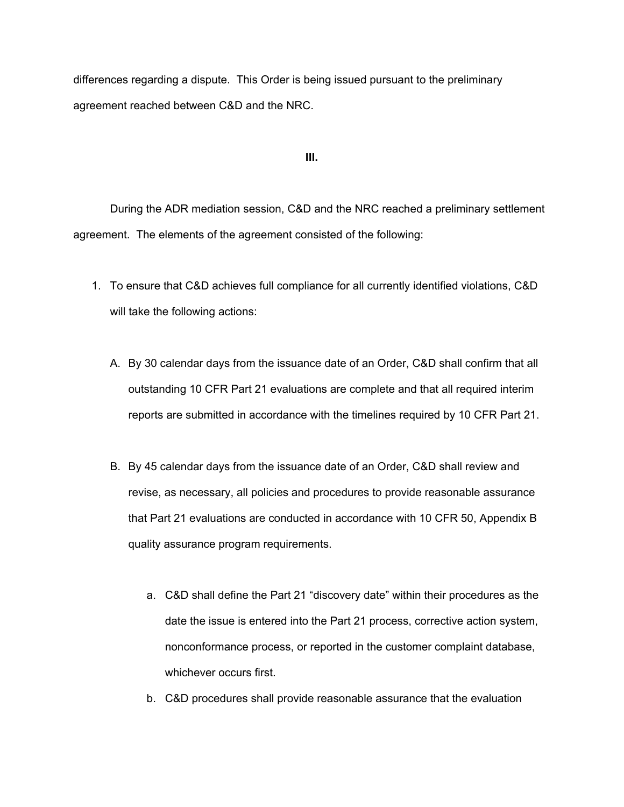differences regarding a dispute. This Order is being issued pursuant to the preliminary agreement reached between C&D and the NRC.

**III.** 

 During the ADR mediation session, C&D and the NRC reached a preliminary settlement agreement. The elements of the agreement consisted of the following:

- 1. To ensure that C&D achieves full compliance for all currently identified violations, C&D will take the following actions:
	- A. By 30 calendar days from the issuance date of an Order, C&D shall confirm that all outstanding 10 CFR Part 21 evaluations are complete and that all required interim reports are submitted in accordance with the timelines required by 10 CFR Part 21.
	- B. By 45 calendar days from the issuance date of an Order, C&D shall review and revise, as necessary, all policies and procedures to provide reasonable assurance that Part 21 evaluations are conducted in accordance with 10 CFR 50, Appendix B quality assurance program requirements.
		- a. C&D shall define the Part 21 "discovery date" within their procedures as the date the issue is entered into the Part 21 process, corrective action system, nonconformance process, or reported in the customer complaint database, whichever occurs first.
		- b. C&D procedures shall provide reasonable assurance that the evaluation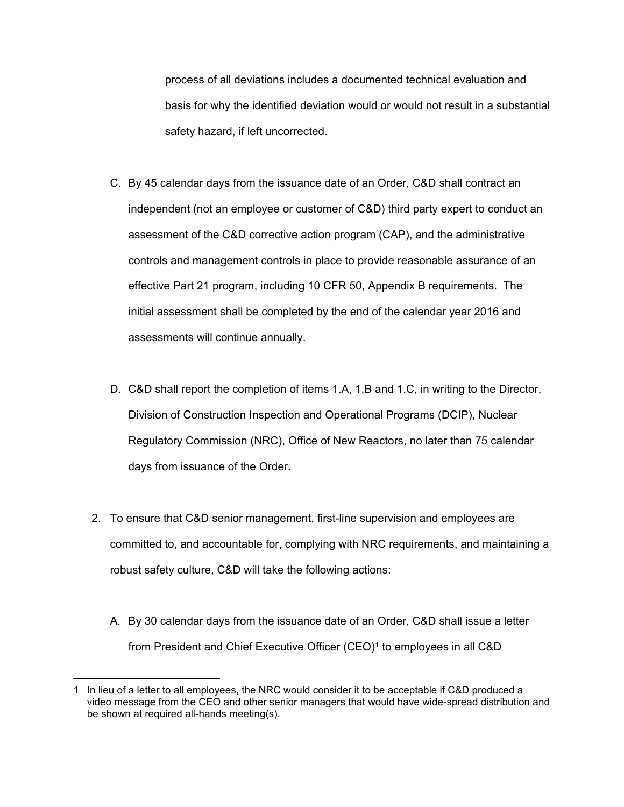process of all deviations includes a documented technical evaluation and basis for why the identified deviation would or would not result in a substantial safety hazard, if left uncorrected.

- C. By 45 calendar days from the issuance date of an Order, C&D shall contract an independent (not an employee or customer of C&D) third party expert to conduct an assessment of the C&D corrective action program (CAP), and the administrative controls and management controls in place to provide reasonable assurance of an effective Part 21 program, including 10 CFR 50, Appendix B requirements. The initial assessment shall be completed by the end of the calendar year 2016 and assessments will continue annually.
- D. C&D shall report the completion of items 1.A, 1.B and 1.C, in writing to the Director, Division of Construction Inspection and Operational Programs (DCIP), Nuclear Regulatory Commission (NRC), Office of New Reactors, no later than 75 calendar days from issuance of the Order.
- 2. To ensure that C&D senior management, first-line supervision and employees are committed to, and accountable for, complying with NRC requirements, and maintaining a robust safety culture, C&D will take the following actions:
	- A. By 30 calendar days from the issuance date of an Order, C&D shall issue a letter from President and Chief Executive Officer (CEO)<sup>1</sup> to employees in all C&D

 $\overline{a}$ 

<sup>1</sup> In lieu of a letter to all employees, the NRC would consider it to be acceptable if C&D produced a video message from the CEO and other senior managers that would have wide-spread distribution and be shown at required all-hands meeting(s).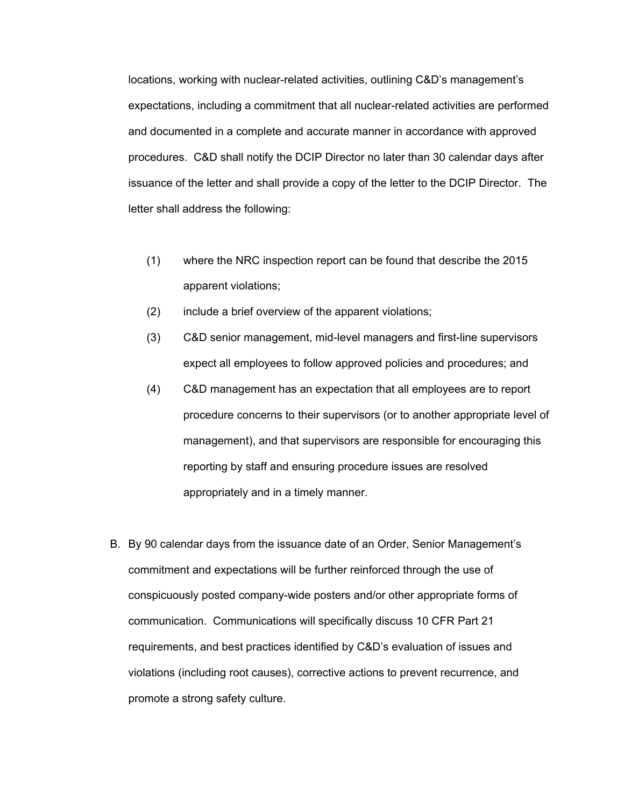locations, working with nuclear-related activities, outlining C&D's management's expectations, including a commitment that all nuclear-related activities are performed and documented in a complete and accurate manner in accordance with approved procedures. C&D shall notify the DCIP Director no later than 30 calendar days after issuance of the letter and shall provide a copy of the letter to the DCIP Director. The letter shall address the following:

- (1) where the NRC inspection report can be found that describe the 2015 apparent violations;
- (2) include a brief overview of the apparent violations;
- (3) C&D senior management, mid-level managers and first-line supervisors expect all employees to follow approved policies and procedures; and
- (4) C&D management has an expectation that all employees are to report procedure concerns to their supervisors (or to another appropriate level of management), and that supervisors are responsible for encouraging this reporting by staff and ensuring procedure issues are resolved appropriately and in a timely manner.
- B. By 90 calendar days from the issuance date of an Order, Senior Management's commitment and expectations will be further reinforced through the use of conspicuously posted company-wide posters and/or other appropriate forms of communication. Communications will specifically discuss 10 CFR Part 21 requirements, and best practices identified by C&D's evaluation of issues and violations (including root causes), corrective actions to prevent recurrence, and promote a strong safety culture.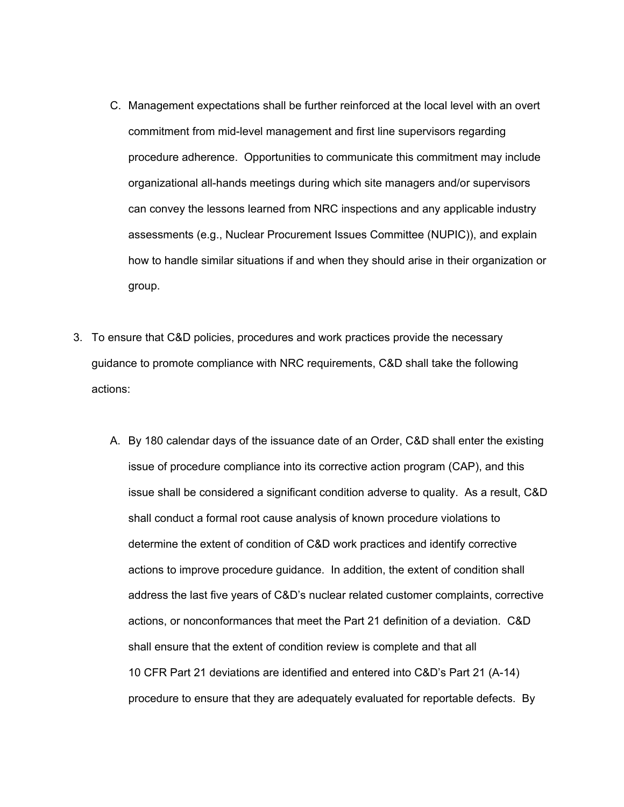- C. Management expectations shall be further reinforced at the local level with an overt commitment from mid-level management and first line supervisors regarding procedure adherence. Opportunities to communicate this commitment may include organizational all-hands meetings during which site managers and/or supervisors can convey the lessons learned from NRC inspections and any applicable industry assessments (e.g., Nuclear Procurement Issues Committee (NUPIC)), and explain how to handle similar situations if and when they should arise in their organization or group.
- 3. To ensure that C&D policies, procedures and work practices provide the necessary guidance to promote compliance with NRC requirements, C&D shall take the following actions:
	- A. By 180 calendar days of the issuance date of an Order, C&D shall enter the existing issue of procedure compliance into its corrective action program (CAP), and this issue shall be considered a significant condition adverse to quality. As a result, C&D shall conduct a formal root cause analysis of known procedure violations to determine the extent of condition of C&D work practices and identify corrective actions to improve procedure guidance. In addition, the extent of condition shall address the last five years of C&D's nuclear related customer complaints, corrective actions, or nonconformances that meet the Part 21 definition of a deviation. C&D shall ensure that the extent of condition review is complete and that all 10 CFR Part 21 deviations are identified and entered into C&D's Part 21 (A-14) procedure to ensure that they are adequately evaluated for reportable defects. By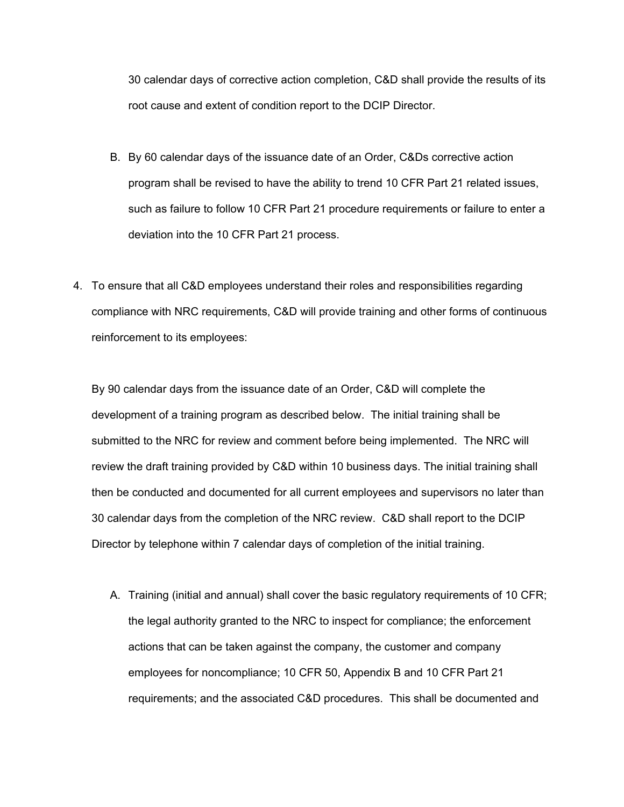30 calendar days of corrective action completion, C&D shall provide the results of its root cause and extent of condition report to the DCIP Director.

- B. By 60 calendar days of the issuance date of an Order, C&Ds corrective action program shall be revised to have the ability to trend 10 CFR Part 21 related issues, such as failure to follow 10 CFR Part 21 procedure requirements or failure to enter a deviation into the 10 CFR Part 21 process.
- 4. To ensure that all C&D employees understand their roles and responsibilities regarding compliance with NRC requirements, C&D will provide training and other forms of continuous reinforcement to its employees:

 By 90 calendar days from the issuance date of an Order, C&D will complete the development of a training program as described below. The initial training shall be submitted to the NRC for review and comment before being implemented. The NRC will review the draft training provided by C&D within 10 business days. The initial training shall then be conducted and documented for all current employees and supervisors no later than 30 calendar days from the completion of the NRC review. C&D shall report to the DCIP Director by telephone within 7 calendar days of completion of the initial training.

A. Training (initial and annual) shall cover the basic regulatory requirements of 10 CFR; the legal authority granted to the NRC to inspect for compliance; the enforcement actions that can be taken against the company, the customer and company employees for noncompliance; 10 CFR 50, Appendix B and 10 CFR Part 21 requirements; and the associated C&D procedures. This shall be documented and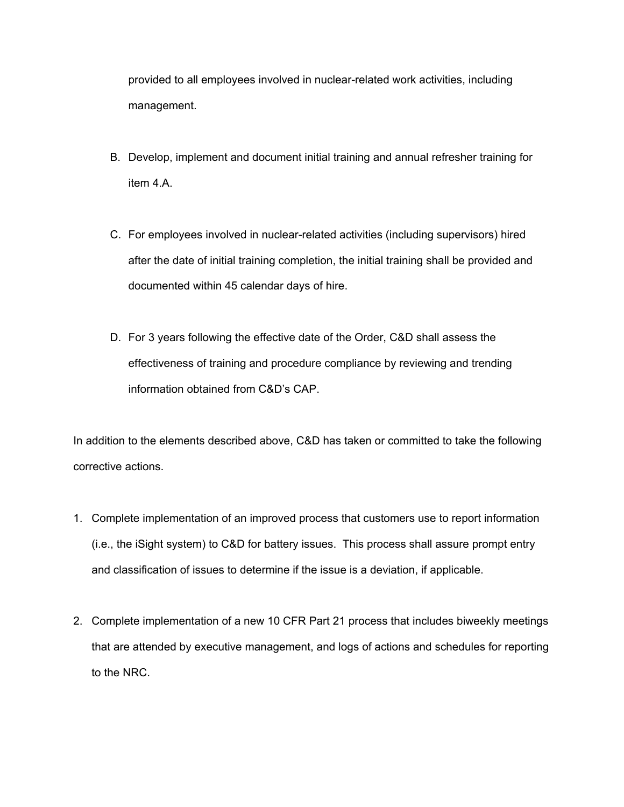provided to all employees involved in nuclear-related work activities, including management.

- B. Develop, implement and document initial training and annual refresher training for item 4.A.
- C. For employees involved in nuclear-related activities (including supervisors) hired after the date of initial training completion, the initial training shall be provided and documented within 45 calendar days of hire.
- D. For 3 years following the effective date of the Order, C&D shall assess the effectiveness of training and procedure compliance by reviewing and trending information obtained from C&D's CAP.

In addition to the elements described above, C&D has taken or committed to take the following corrective actions.

- 1. Complete implementation of an improved process that customers use to report information (i.e., the iSight system) to C&D for battery issues. This process shall assure prompt entry and classification of issues to determine if the issue is a deviation, if applicable.
- 2. Complete implementation of a new 10 CFR Part 21 process that includes biweekly meetings that are attended by executive management, and logs of actions and schedules for reporting to the NRC.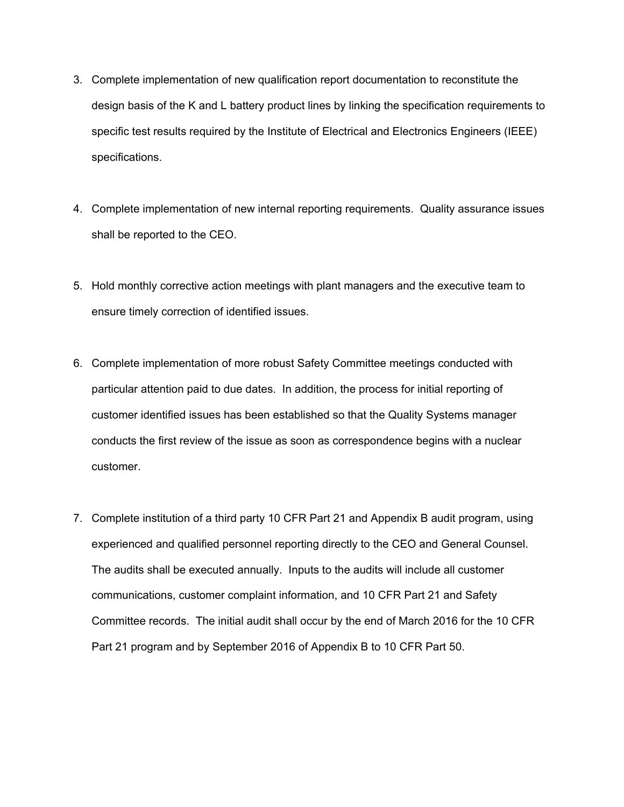- 3. Complete implementation of new qualification report documentation to reconstitute the design basis of the K and L battery product lines by linking the specification requirements to specific test results required by the Institute of Electrical and Electronics Engineers (IEEE) specifications.
- 4. Complete implementation of new internal reporting requirements. Quality assurance issues shall be reported to the CEO.
- 5. Hold monthly corrective action meetings with plant managers and the executive team to ensure timely correction of identified issues.
- 6. Complete implementation of more robust Safety Committee meetings conducted with particular attention paid to due dates. In addition, the process for initial reporting of customer identified issues has been established so that the Quality Systems manager conducts the first review of the issue as soon as correspondence begins with a nuclear customer.
- 7. Complete institution of a third party 10 CFR Part 21 and Appendix B audit program, using experienced and qualified personnel reporting directly to the CEO and General Counsel. The audits shall be executed annually. Inputs to the audits will include all customer communications, customer complaint information, and 10 CFR Part 21 and Safety Committee records. The initial audit shall occur by the end of March 2016 for the 10 CFR Part 21 program and by September 2016 of Appendix B to 10 CFR Part 50.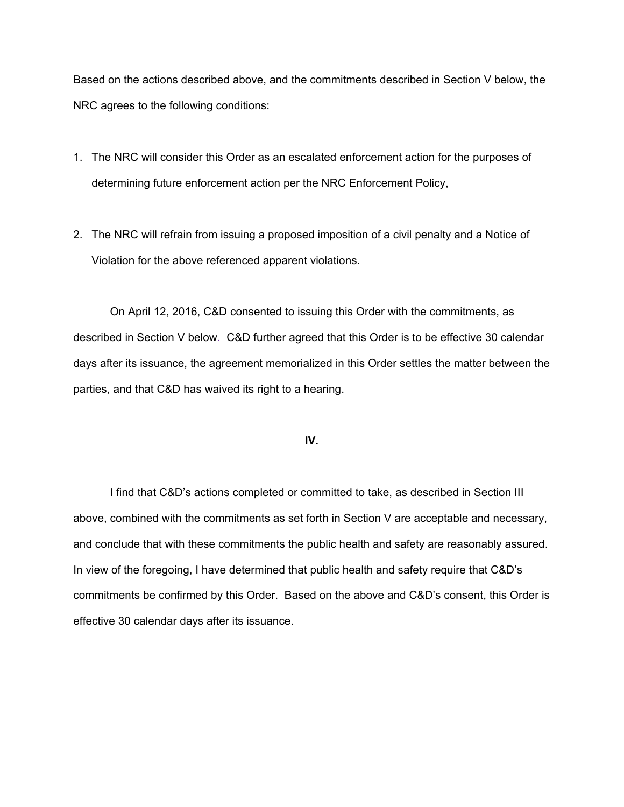Based on the actions described above, and the commitments described in Section V below, the NRC agrees to the following conditions:

- 1. The NRC will consider this Order as an escalated enforcement action for the purposes of determining future enforcement action per the NRC Enforcement Policy,
- 2. The NRC will refrain from issuing a proposed imposition of a civil penalty and a Notice of Violation for the above referenced apparent violations.

 On April 12, 2016, C&D consented to issuing this Order with the commitments, as described in Section V below. C&D further agreed that this Order is to be effective 30 calendar days after its issuance, the agreement memorialized in this Order settles the matter between the parties, and that C&D has waived its right to a hearing.

## **IV.**

 I find that C&D's actions completed or committed to take, as described in Section III above, combined with the commitments as set forth in Section V are acceptable and necessary, and conclude that with these commitments the public health and safety are reasonably assured. In view of the foregoing, I have determined that public health and safety require that C&D's commitments be confirmed by this Order. Based on the above and C&D's consent, this Order is effective 30 calendar days after its issuance.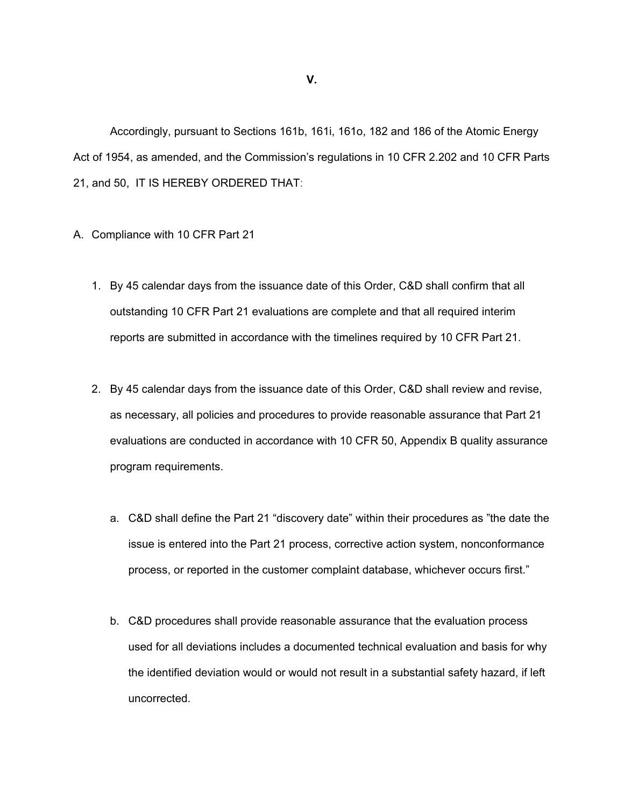Accordingly, pursuant to Sections 161b, 161i, 161o, 182 and 186 of the Atomic Energy Act of 1954, as amended, and the Commission's regulations in 10 CFR 2.202 and 10 CFR Parts 21, and 50, IT IS HEREBY ORDERED THAT:

#### A. Compliance with 10 CFR Part 21

- 1. By 45 calendar days from the issuance date of this Order, C&D shall confirm that all outstanding 10 CFR Part 21 evaluations are complete and that all required interim reports are submitted in accordance with the timelines required by 10 CFR Part 21.
- 2. By 45 calendar days from the issuance date of this Order, C&D shall review and revise, as necessary, all policies and procedures to provide reasonable assurance that Part 21 evaluations are conducted in accordance with 10 CFR 50, Appendix B quality assurance program requirements.
	- a. C&D shall define the Part 21 "discovery date" within their procedures as "the date the issue is entered into the Part 21 process, corrective action system, nonconformance process, or reported in the customer complaint database, whichever occurs first."
	- b. C&D procedures shall provide reasonable assurance that the evaluation process used for all deviations includes a documented technical evaluation and basis for why the identified deviation would or would not result in a substantial safety hazard, if left uncorrected.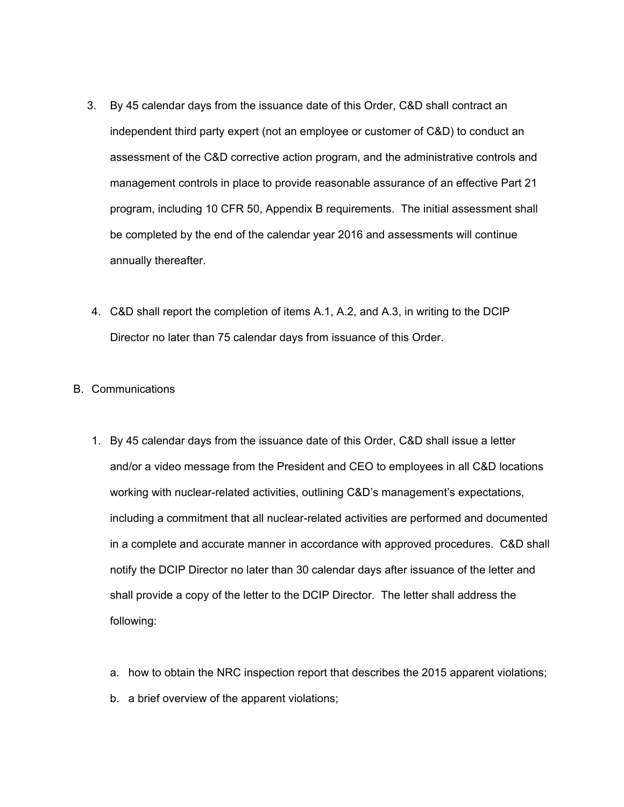- 3. By 45 calendar days from the issuance date of this Order, C&D shall contract an independent third party expert (not an employee or customer of C&D) to conduct an assessment of the C&D corrective action program, and the administrative controls and management controls in place to provide reasonable assurance of an effective Part 21 program, including 10 CFR 50, Appendix B requirements. The initial assessment shall be completed by the end of the calendar year 2016 and assessments will continue annually thereafter.
- 4. C&D shall report the completion of items A.1, A.2, and A.3, in writing to the DCIP Director no later than 75 calendar days from issuance of this Order.

## B. Communications

- 1. By 45 calendar days from the issuance date of this Order, C&D shall issue a letter and/or a video message from the President and CEO to employees in all C&D locations working with nuclear-related activities, outlining C&D's management's expectations, including a commitment that all nuclear-related activities are performed and documented in a complete and accurate manner in accordance with approved procedures. C&D shall notify the DCIP Director no later than 30 calendar days after issuance of the letter and shall provide a copy of the letter to the DCIP Director. The letter shall address the following:
	- a. how to obtain the NRC inspection report that describes the 2015 apparent violations;
	- b. a brief overview of the apparent violations;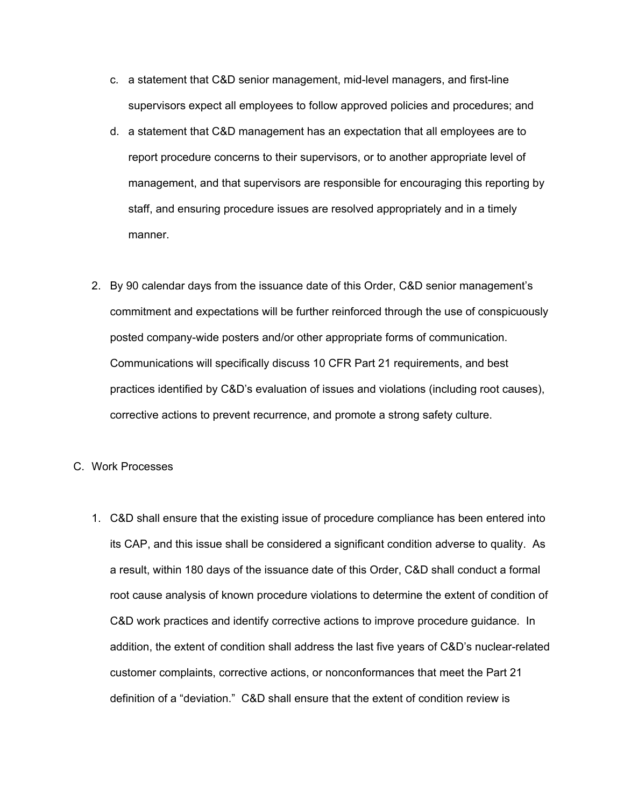- c. a statement that C&D senior management, mid-level managers, and first-line supervisors expect all employees to follow approved policies and procedures; and
- d. a statement that C&D management has an expectation that all employees are to report procedure concerns to their supervisors, or to another appropriate level of management, and that supervisors are responsible for encouraging this reporting by staff, and ensuring procedure issues are resolved appropriately and in a timely manner.
- 2. By 90 calendar days from the issuance date of this Order, C&D senior management's commitment and expectations will be further reinforced through the use of conspicuously posted company-wide posters and/or other appropriate forms of communication. Communications will specifically discuss 10 CFR Part 21 requirements, and best practices identified by C&D's evaluation of issues and violations (including root causes), corrective actions to prevent recurrence, and promote a strong safety culture.

#### C. Work Processes

1. C&D shall ensure that the existing issue of procedure compliance has been entered into its CAP, and this issue shall be considered a significant condition adverse to quality. As a result, within 180 days of the issuance date of this Order, C&D shall conduct a formal root cause analysis of known procedure violations to determine the extent of condition of C&D work practices and identify corrective actions to improve procedure guidance. In addition, the extent of condition shall address the last five years of C&D's nuclear-related customer complaints, corrective actions, or nonconformances that meet the Part 21 definition of a "deviation." C&D shall ensure that the extent of condition review is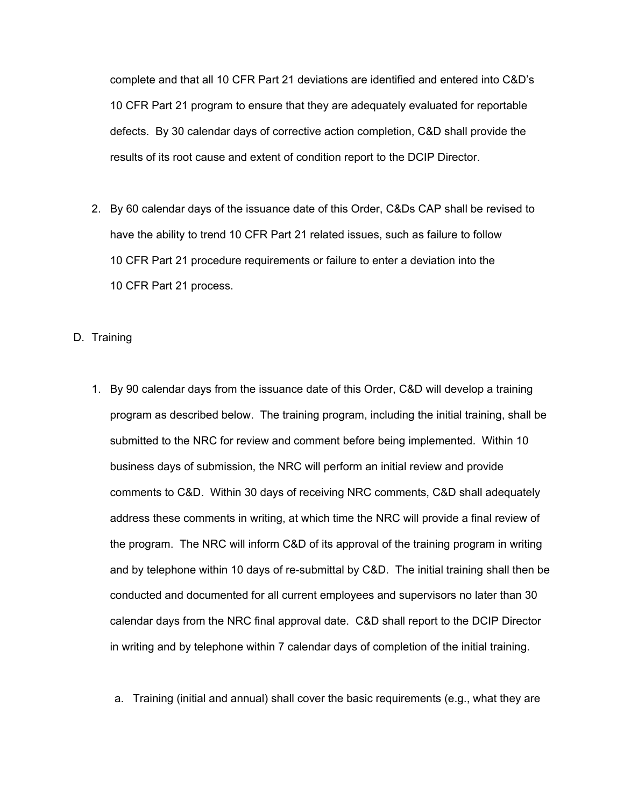complete and that all 10 CFR Part 21 deviations are identified and entered into C&D's 10 CFR Part 21 program to ensure that they are adequately evaluated for reportable defects. By 30 calendar days of corrective action completion, C&D shall provide the results of its root cause and extent of condition report to the DCIP Director.

2. By 60 calendar days of the issuance date of this Order, C&Ds CAP shall be revised to have the ability to trend 10 CFR Part 21 related issues, such as failure to follow 10 CFR Part 21 procedure requirements or failure to enter a deviation into the 10 CFR Part 21 process.

D. Training

- 1. By 90 calendar days from the issuance date of this Order, C&D will develop a training program as described below. The training program, including the initial training, shall be submitted to the NRC for review and comment before being implemented. Within 10 business days of submission, the NRC will perform an initial review and provide comments to C&D. Within 30 days of receiving NRC comments, C&D shall adequately address these comments in writing, at which time the NRC will provide a final review of the program. The NRC will inform C&D of its approval of the training program in writing and by telephone within 10 days of re-submittal by C&D. The initial training shall then be conducted and documented for all current employees and supervisors no later than 30 calendar days from the NRC final approval date. C&D shall report to the DCIP Director in writing and by telephone within 7 calendar days of completion of the initial training.
	- a. Training (initial and annual) shall cover the basic requirements (e.g., what they are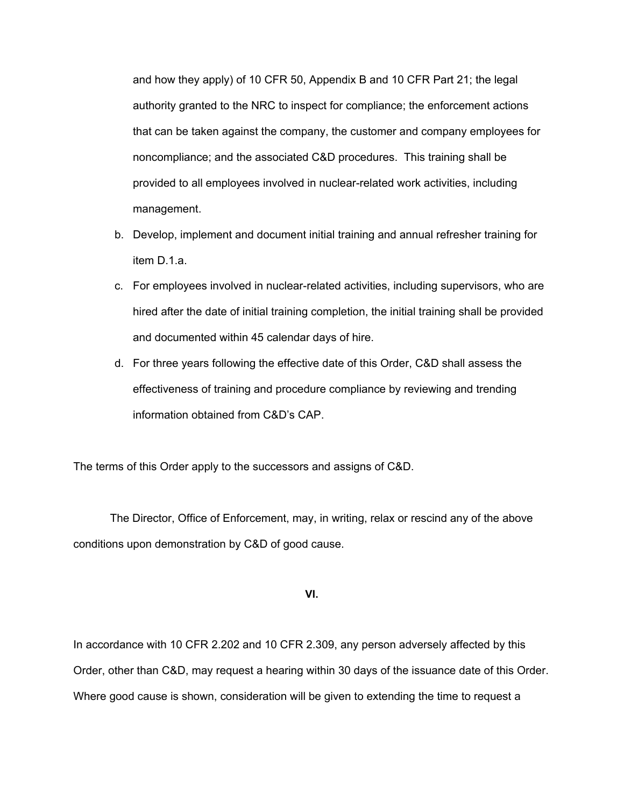and how they apply) of 10 CFR 50, Appendix B and 10 CFR Part 21; the legal authority granted to the NRC to inspect for compliance; the enforcement actions that can be taken against the company, the customer and company employees for noncompliance; and the associated C&D procedures. This training shall be provided to all employees involved in nuclear-related work activities, including management.

- b. Develop, implement and document initial training and annual refresher training for item D.1.a.
- c. For employees involved in nuclear-related activities, including supervisors, who are hired after the date of initial training completion, the initial training shall be provided and documented within 45 calendar days of hire.
- d. For three years following the effective date of this Order, C&D shall assess the effectiveness of training and procedure compliance by reviewing and trending information obtained from C&D's CAP.

The terms of this Order apply to the successors and assigns of C&D.

 The Director, Office of Enforcement, may, in writing, relax or rescind any of the above conditions upon demonstration by C&D of good cause.

**VI.** 

In accordance with 10 CFR 2.202 and 10 CFR 2.309, any person adversely affected by this Order, other than C&D, may request a hearing within 30 days of the issuance date of this Order. Where good cause is shown, consideration will be given to extending the time to request a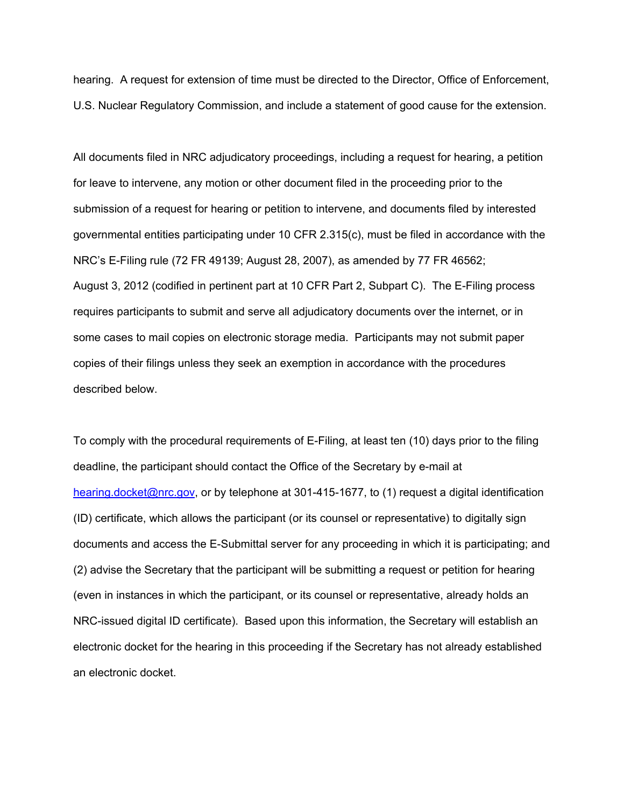hearing. A request for extension of time must be directed to the Director, Office of Enforcement, U.S. Nuclear Regulatory Commission, and include a statement of good cause for the extension.

All documents filed in NRC adjudicatory proceedings, including a request for hearing, a petition for leave to intervene, any motion or other document filed in the proceeding prior to the submission of a request for hearing or petition to intervene, and documents filed by interested governmental entities participating under 10 CFR 2.315(c), must be filed in accordance with the NRC's E-Filing rule (72 FR 49139; August 28, 2007), as amended by 77 FR 46562; August 3, 2012 (codified in pertinent part at 10 CFR Part 2, Subpart C). The E-Filing process requires participants to submit and serve all adjudicatory documents over the internet, or in some cases to mail copies on electronic storage media. Participants may not submit paper copies of their filings unless they seek an exemption in accordance with the procedures described below.

To comply with the procedural requirements of E-Filing, at least ten (10) days prior to the filing deadline, the participant should contact the Office of the Secretary by e-mail at hearing.docket@nrc.gov, or by telephone at 301-415-1677, to (1) request a digital identification (ID) certificate, which allows the participant (or its counsel or representative) to digitally sign documents and access the E-Submittal server for any proceeding in which it is participating; and (2) advise the Secretary that the participant will be submitting a request or petition for hearing (even in instances in which the participant, or its counsel or representative, already holds an NRC-issued digital ID certificate). Based upon this information, the Secretary will establish an electronic docket for the hearing in this proceeding if the Secretary has not already established an electronic docket.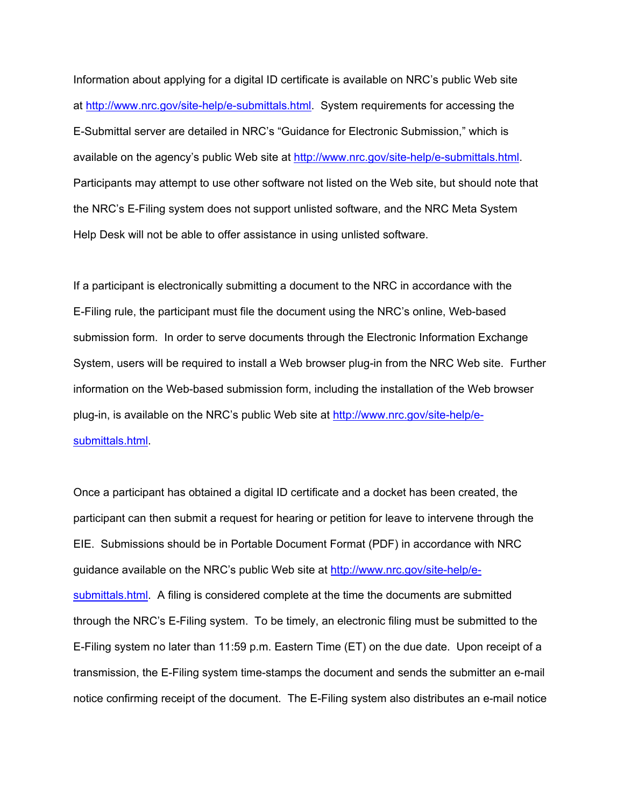Information about applying for a digital ID certificate is available on NRC's public Web site at http://www.nrc.gov/site-help/e-submittals.html. System requirements for accessing the E-Submittal server are detailed in NRC's "Guidance for Electronic Submission," which is available on the agency's public Web site at http://www.nrc.gov/site-help/e-submittals.html. Participants may attempt to use other software not listed on the Web site, but should note that the NRC's E-Filing system does not support unlisted software, and the NRC Meta System Help Desk will not be able to offer assistance in using unlisted software.

If a participant is electronically submitting a document to the NRC in accordance with the E-Filing rule, the participant must file the document using the NRC's online, Web-based submission form. In order to serve documents through the Electronic Information Exchange System, users will be required to install a Web browser plug-in from the NRC Web site. Further information on the Web-based submission form, including the installation of the Web browser plug-in, is available on the NRC's public Web site at http://www.nrc.gov/site-help/esubmittals.html.

Once a participant has obtained a digital ID certificate and a docket has been created, the participant can then submit a request for hearing or petition for leave to intervene through the EIE. Submissions should be in Portable Document Format (PDF) in accordance with NRC guidance available on the NRC's public Web site at http://www.nrc.gov/site-help/esubmittals.html. A filing is considered complete at the time the documents are submitted through the NRC's E-Filing system. To be timely, an electronic filing must be submitted to the E-Filing system no later than 11:59 p.m. Eastern Time (ET) on the due date. Upon receipt of a transmission, the E-Filing system time-stamps the document and sends the submitter an e-mail notice confirming receipt of the document. The E-Filing system also distributes an e-mail notice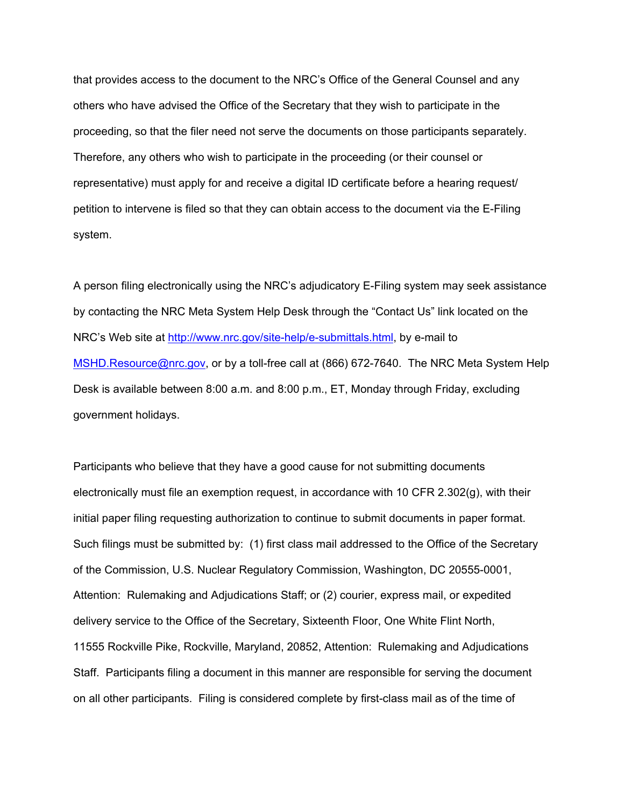that provides access to the document to the NRC's Office of the General Counsel and any others who have advised the Office of the Secretary that they wish to participate in the proceeding, so that the filer need not serve the documents on those participants separately. Therefore, any others who wish to participate in the proceeding (or their counsel or representative) must apply for and receive a digital ID certificate before a hearing request/ petition to intervene is filed so that they can obtain access to the document via the E-Filing system.

A person filing electronically using the NRC's adjudicatory E-Filing system may seek assistance by contacting the NRC Meta System Help Desk through the "Contact Us" link located on the NRC's Web site at http://www.nrc.gov/site-help/e-submittals.html, by e-mail to MSHD.Resource@nrc.gov, or by a toll-free call at (866) 672-7640. The NRC Meta System Help Desk is available between 8:00 a.m. and 8:00 p.m., ET, Monday through Friday, excluding government holidays.

Participants who believe that they have a good cause for not submitting documents electronically must file an exemption request, in accordance with 10 CFR 2.302(g), with their initial paper filing requesting authorization to continue to submit documents in paper format. Such filings must be submitted by: (1) first class mail addressed to the Office of the Secretary of the Commission, U.S. Nuclear Regulatory Commission, Washington, DC 20555-0001, Attention: Rulemaking and Adjudications Staff; or (2) courier, express mail, or expedited delivery service to the Office of the Secretary, Sixteenth Floor, One White Flint North, 11555 Rockville Pike, Rockville, Maryland, 20852, Attention: Rulemaking and Adjudications Staff. Participants filing a document in this manner are responsible for serving the document on all other participants. Filing is considered complete by first-class mail as of the time of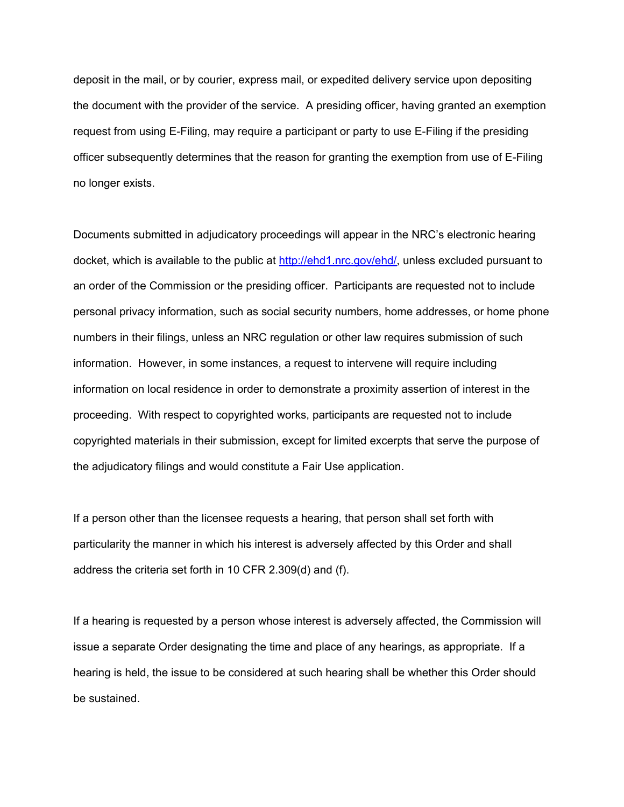deposit in the mail, or by courier, express mail, or expedited delivery service upon depositing the document with the provider of the service. A presiding officer, having granted an exemption request from using E-Filing, may require a participant or party to use E-Filing if the presiding officer subsequently determines that the reason for granting the exemption from use of E-Filing no longer exists.

Documents submitted in adjudicatory proceedings will appear in the NRC's electronic hearing docket, which is available to the public at http://ehd1.nrc.gov/ehd/, unless excluded pursuant to an order of the Commission or the presiding officer. Participants are requested not to include personal privacy information, such as social security numbers, home addresses, or home phone numbers in their filings, unless an NRC regulation or other law requires submission of such information. However, in some instances, a request to intervene will require including information on local residence in order to demonstrate a proximity assertion of interest in the proceeding. With respect to copyrighted works, participants are requested not to include copyrighted materials in their submission, except for limited excerpts that serve the purpose of the adjudicatory filings and would constitute a Fair Use application.

If a person other than the licensee requests a hearing, that person shall set forth with particularity the manner in which his interest is adversely affected by this Order and shall address the criteria set forth in 10 CFR 2.309(d) and (f).

If a hearing is requested by a person whose interest is adversely affected, the Commission will issue a separate Order designating the time and place of any hearings, as appropriate. If a hearing is held, the issue to be considered at such hearing shall be whether this Order should be sustained.